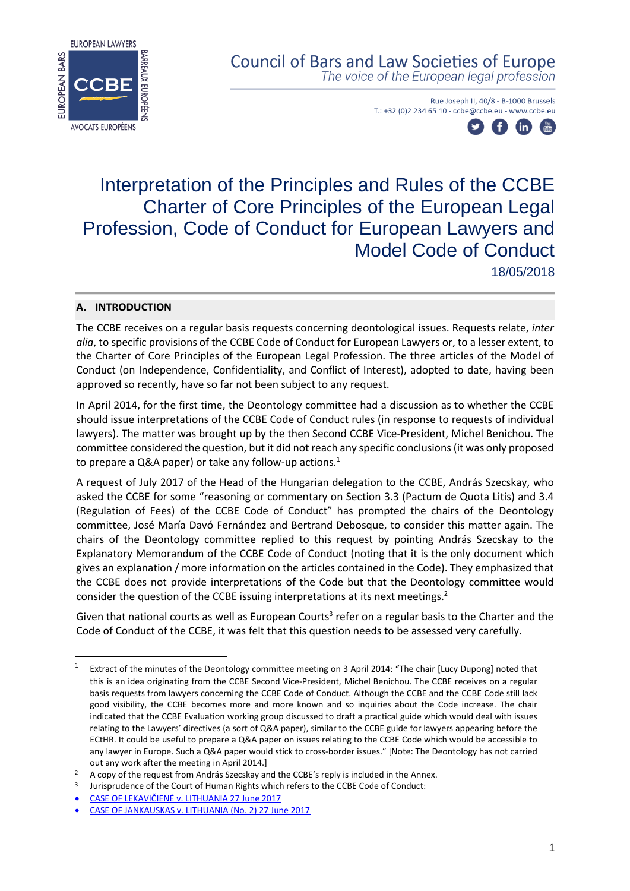

# **Council of Bars and Law Societies of Europe**

The voice of the European legal profession

Rue Joseph II, 40/8 - B-1000 Brussels T.: +32 (0)2 234 65 10 - ccbe@ccbe.eu - www.ccbe.eu



# Interpretation of the Principles and Rules of the CCBE Charter of Core Principles of the European Legal Profession, Code of Conduct for European Lawyers and Model Code of Conduct 18/05/2018

# **A. INTRODUCTION**

1

The CCBE receives on a regular basis requests concerning deontological issues. Requests relate, *inter alia*, to specific provisions of the CCBE Code of Conduct for European Lawyers or, to a lesser extent, to the Charter of Core Principles of the European Legal Profession. The three articles of the Model of Conduct (on Independence, Confidentiality, and Conflict of Interest), adopted to date, having been approved so recently, have so far not been subject to any request.

In April 2014, for the first time, the Deontology committee had a discussion as to whether the CCBE should issue interpretations of the CCBE Code of Conduct rules (in response to requests of individual lawyers). The matter was brought up by the then Second CCBE Vice-President, Michel Benichou. The committee considered the question, but it did not reach any specific conclusions(it was only proposed to prepare a Q&A paper) or take any follow-up actions.<sup>1</sup>

A request of July 2017 of the Head of the Hungarian delegation to the CCBE, András Szecskay, who asked the CCBE for some "reasoning or commentary on Section 3.3 (Pactum de Quota Litis) and 3.4 (Regulation of Fees) of the CCBE Code of Conduct" has prompted the chairs of the Deontology committee, José María Davó Fernández and Bertrand Debosque, to consider this matter again. The chairs of the Deontology committee replied to this request by pointing András Szecskay to the Explanatory Memorandum of the CCBE Code of Conduct (noting that it is the only document which gives an explanation / more information on the articles contained in the Code). They emphasized that the CCBE does not provide interpretations of the Code but that the Deontology committee would consider the question of the CCBE issuing interpretations at its next meetings.<sup>2</sup>

Given that national courts as well as European Courts<sup>3</sup> refer on a regular basis to the Charter and the Code of Conduct of the CCBE, it was felt that this question needs to be assessed very carefully.

<sup>1</sup> Extract of the minutes of the Deontology committee meeting on 3 April 2014: "The chair [Lucy Dupong] noted that this is an idea originating from the CCBE Second Vice-President, Michel Benichou. The CCBE receives on a regular basis requests from lawyers concerning the CCBE Code of Conduct. Although the CCBE and the CCBE Code still lack good visibility, the CCBE becomes more and more known and so inquiries about the Code increase. The chair indicated that the CCBE Evaluation working group discussed to draft a practical guide which would deal with issues relating to the Lawyers' directives (a sort of Q&A paper), similar to the CCBE guide for lawyers appearing before the ECtHR. It could be useful to prepare a Q&A paper on issues relating to the CCBE Code which would be accessible to any lawyer in Europe. Such a Q&A paper would stick to cross-border issues." [Note: The Deontology has not carried out any work after the meeting in April 2014.]

<sup>&</sup>lt;sup>2</sup> A copy of the request from András Szecskay and the CCBE's reply is included in the Annex.

<sup>3</sup> Jurisprudence of the Court of Human Rights which refers to the CCBE Code of Conduct:

<sup>•</sup> CASE OF LEKAVIČIENĖ [v. LITHUANIA 27 June 2017](http://hudoc.echr.coe.int/eng?i=001-174616)

<sup>•</sup> [CASE OF JANKAUSKAS v. LITHUANIA \(No. 2\) 27 June 2017](http://hudoc.echr.coe.int/eng?i=001-174617)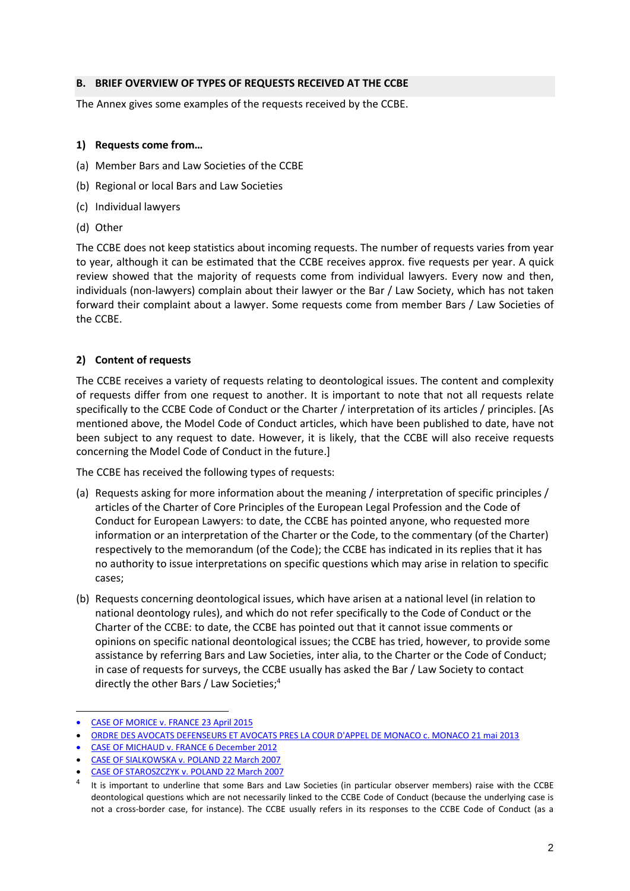#### **B. BRIEF OVERVIEW OF TYPES OF REQUESTS RECEIVED AT THE CCBE**

The Annex gives some examples of the requests received by the CCBE.

### **1) Requests come from…**

- (a) Member Bars and Law Societies of the CCBE
- (b) Regional or local Bars and Law Societies
- (c) Individual lawyers
- (d) Other

The CCBE does not keep statistics about incoming requests. The number of requests varies from year to year, although it can be estimated that the CCBE receives approx. five requests per year. A quick review showed that the majority of requests come from individual lawyers. Every now and then, individuals (non-lawyers) complain about their lawyer or the Bar / Law Society, which has not taken forward their complaint about a lawyer. Some requests come from member Bars / Law Societies of the CCBE.

# **2) Content of requests**

The CCBE receives a variety of requests relating to deontological issues. The content and complexity of requests differ from one request to another. It is important to note that not all requests relate specifically to the CCBE Code of Conduct or the Charter / interpretation of its articles / principles. [As mentioned above, the Model Code of Conduct articles, which have been published to date, have not been subject to any request to date. However, it is likely, that the CCBE will also receive requests concerning the Model Code of Conduct in the future.]

The CCBE has received the following types of requests:

- (a) Requests asking for more information about the meaning / interpretation of specific principles / articles of the Charter of Core Principles of the European Legal Profession and the Code of Conduct for European Lawyers: to date, the CCBE has pointed anyone, who requested more information or an interpretation of the Charter or the Code, to the commentary (of the Charter) respectively to the memorandum (of the Code); the CCBE has indicated in its replies that it has no authority to issue interpretations on specific questions which may arise in relation to specific cases;
- (b) Requests concerning deontological issues, which have arisen at a national level (in relation to national deontology rules), and which do not refer specifically to the Code of Conduct or the Charter of the CCBE: to date, the CCBE has pointed out that it cannot issue comments or opinions on specific national deontological issues; the CCBE has tried, however, to provide some assistance by referring Bars and Law Societies, inter alia, to the Charter or the Code of Conduct; in case of requests for surveys, the CCBE usually has asked the Bar / Law Society to contact directly the other Bars / Law Societies;<sup>4</sup>

-

<sup>•</sup> [CASE OF MORICE v. FRANCE](http://hudoc.echr.coe.int/eng?i=001-154265) 23 April 2015

<sup>•</sup> [ORDRE DES AVOCATS DEFENSEURS ET AVOCATS PRES LA COUR D'APPEL DE MONACO c. MONACO 21 mai 2013](http://hudoc.echr.coe.int/eng?i=001-121215)

<sup>•</sup> [CASE OF MICHAUD v. FRANCE 6 December 2012](http://hudoc.echr.coe.int/eng?i=001-115377)

<sup>•</sup> [CASE OF SIALKOWSKA v. POLAND 22 March 2007](https://hudoc.echr.coe.int/eng#%7B%22itemid%22:%5B%22001-79887%22%5D%7D)

<sup>•</sup> [CASE OF STAROSZCZYK v. POLAND 22 March 2007](http://hudoc.echr.coe.int/eng?i=001-79879)

<sup>4</sup> It is important to underline that some Bars and Law Societies (in particular observer members) raise with the CCBE deontological questions which are not necessarily linked to the CCBE Code of Conduct (because the underlying case is not a cross-border case, for instance). The CCBE usually refers in its responses to the CCBE Code of Conduct (as a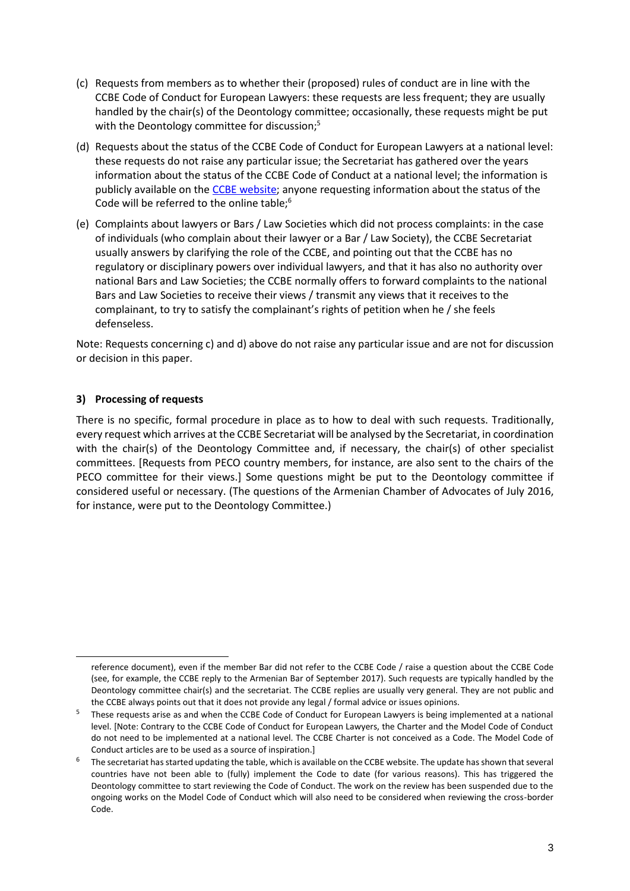- (c) Requests from members as to whether their (proposed) rules of conduct are in line with the CCBE Code of Conduct for European Lawyers: these requests are less frequent; they are usually handled by the chair(s) of the Deontology committee; occasionally, these requests might be put with the Deontology committee for discussion;<sup>5</sup>
- (d) Requests about the status of the CCBE Code of Conduct for European Lawyers at a national level: these requests do not raise any particular issue; the Secretariat has gathered over the years information about the status of the CCBE Code of Conduct at a national level; the information is publicly available on the CCBE [website;](http://www.ccbe.eu/fileadmin/speciality_distribution/public/documents/DEONTOLOGY/DEON_CoC/EN_DEON_20131204_Status_of_the_CCBE_Code_of_Conduct_at_a_national_level.pdf) anyone requesting information about the status of the Code will be referred to the online table;<sup>6</sup>
- (e) Complaints about lawyers or Bars / Law Societies which did not process complaints: in the case of individuals (who complain about their lawyer or a Bar / Law Society), the CCBE Secretariat usually answers by clarifying the role of the CCBE, and pointing out that the CCBE has no regulatory or disciplinary powers over individual lawyers, and that it has also no authority over national Bars and Law Societies; the CCBE normally offers to forward complaints to the national Bars and Law Societies to receive their views / transmit any views that it receives to the complainant, to try to satisfy the complainant's rights of petition when he / she feels defenseless.

Note: Requests concerning c) and d) above do not raise any particular issue and are not for discussion or decision in this paper.

#### **3) Processing of requests**

-

There is no specific, formal procedure in place as to how to deal with such requests. Traditionally, every request which arrives at the CCBE Secretariat will be analysed by the Secretariat, in coordination with the chair(s) of the Deontology Committee and, if necessary, the chair(s) of other specialist committees. [Requests from PECO country members, for instance, are also sent to the chairs of the PECO committee for their views.] Some questions might be put to the Deontology committee if considered useful or necessary. (The questions of the Armenian Chamber of Advocates of July 2016, for instance, were put to the Deontology Committee.)

reference document), even if the member Bar did not refer to the CCBE Code / raise a question about the CCBE Code (see, for example, the CCBE reply to the Armenian Bar of September 2017). Such requests are typically handled by the Deontology committee chair(s) and the secretariat. The CCBE replies are usually very general. They are not public and the CCBE always points out that it does not provide any legal / formal advice or issues opinions.

<sup>&</sup>lt;sup>5</sup> These requests arise as and when the CCBE Code of Conduct for European Lawyers is being implemented at a national level. [Note: Contrary to the CCBE Code of Conduct for European Lawyers, the Charter and the Model Code of Conduct do not need to be implemented at a national level. The CCBE Charter is not conceived as a Code. The Model Code of Conduct articles are to be used as a source of inspiration.]

<sup>&</sup>lt;sup>6</sup> The secretariat has started updating the table, which is available on the CCBE website. The update has shown that several countries have not been able to (fully) implement the Code to date (for various reasons). This has triggered the Deontology committee to start reviewing the Code of Conduct. The work on the review has been suspended due to the ongoing works on the Model Code of Conduct which will also need to be considered when reviewing the cross-border Code.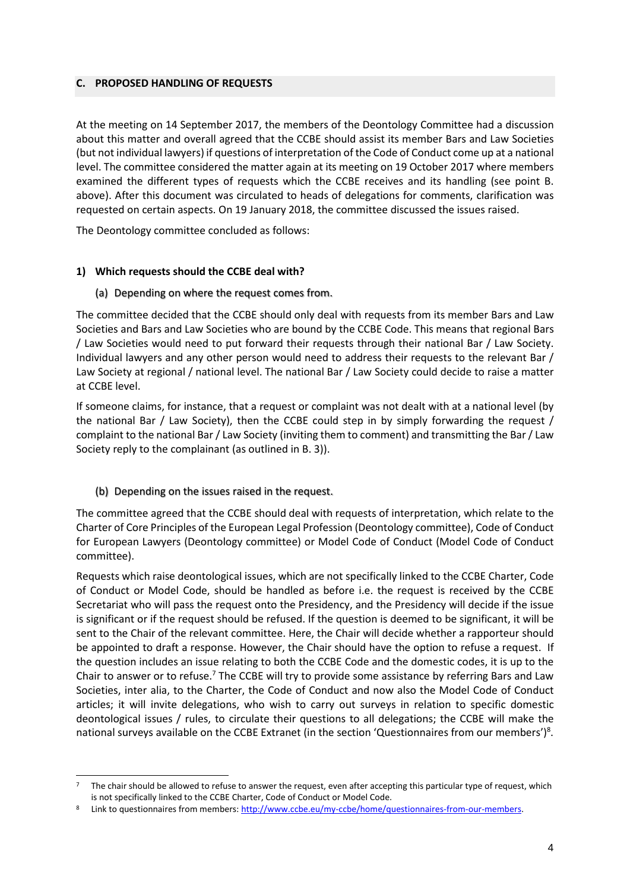#### **C. PROPOSED HANDLING OF REQUESTS**

At the meeting on 14 September 2017, the members of the Deontology Committee had a discussion about this matter and overall agreed that the CCBE should assist its member Bars and Law Societies (but not individual lawyers) if questions of interpretation of the Code of Conduct come up at a national level. The committee considered the matter again at its meeting on 19 October 2017 where members examined the different types of requests which the CCBE receives and its handling (see point B. above). After this document was circulated to heads of delegations for comments, clarification was requested on certain aspects. On 19 January 2018, the committee discussed the issues raised.

The Deontology committee concluded as follows:

# **1) Which requests should the CCBE deal with?**

#### (a) Depending on where the request comes from.

The committee decided that the CCBE should only deal with requests from its member Bars and Law Societies and Bars and Law Societies who are bound by the CCBE Code. This means that regional Bars / Law Societies would need to put forward their requests through their national Bar / Law Society. Individual lawyers and any other person would need to address their requests to the relevant Bar / Law Society at regional / national level. The national Bar / Law Society could decide to raise a matter at CCBE level.

If someone claims, for instance, that a request or complaint was not dealt with at a national level (by the national Bar / Law Society), then the CCBE could step in by simply forwarding the request / complaint to the national Bar / Law Society (inviting them to comment) and transmitting the Bar/ Law Society reply to the complainant (as outlined in B. 3)).

# (b) Depending on the issues raised in the request.

1

The committee agreed that the CCBE should deal with requests of interpretation, which relate to the Charter of Core Principles of the European Legal Profession (Deontology committee), Code of Conduct for European Lawyers (Deontology committee) or Model Code of Conduct (Model Code of Conduct committee).

Requests which raise deontological issues, which are not specifically linked to the CCBE Charter, Code of Conduct or Model Code, should be handled as before i.e. the request is received by the CCBE Secretariat who will pass the request onto the Presidency, and the Presidency will decide if the issue is significant or if the request should be refused. If the question is deemed to be significant, it will be sent to the Chair of the relevant committee. Here, the Chair will decide whether a rapporteur should be appointed to draft a response. However, the Chair should have the option to refuse a request. If the question includes an issue relating to both the CCBE Code and the domestic codes, it is up to the Chair to answer or to refuse.<sup>7</sup> The CCBE will try to provide some assistance by referring Bars and Law Societies, inter alia, to the Charter, the Code of Conduct and now also the Model Code of Conduct articles; it will invite delegations, who wish to carry out surveys in relation to specific domestic deontological issues / rules, to circulate their questions to all delegations; the CCBE will make the national surveys available on the CCBE Extranet (in the section 'Questionnaires from our members')<sup>8</sup>.

<sup>7</sup> The chair should be allowed to refuse to answer the request, even after accepting this particular type of request, which is not specifically linked to the CCBE Charter, Code of Conduct or Model Code.

Link to questionnaires from members: [http://www.ccbe.eu/my-ccbe/home/questionnaires-from-our-members.](http://www.ccbe.eu/my-ccbe/home/questionnaires-from-our-members)